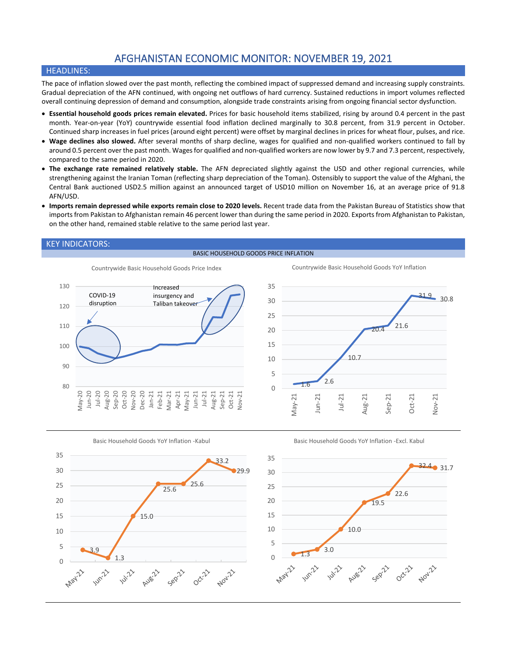# AFGHANISTAN ECONOMIC MONITOR: NOVEMBER 19, 2021

# HEADLINES:

The pace of inflation slowed over the past month, reflecting the combined impact of suppressed demand and increasing supply constraints. Gradual depreciation of the AFN continued, with ongoing net outflows of hard currency. Sustained reductions in import volumes reflected overall continuing depression of demand and consumption, alongside trade constraints arising from ongoing financial sector dysfunction.

- **Essential household goods prices remain elevated.** Prices for basic household items stabilized, rising by around 0.4 percent in the past month. Year-on-year (YoY) countrywide essential food inflation declined marginally to 30.8 percent, from 31.9 percent in October. Continued sharp increases in fuel prices (around eight percent) were offset by marginal declines in prices for wheat flour, pulses, and rice.
- **Wage declines also slowed.** After several months of sharp decline, wages for qualified and non-qualified workers continued to fall by around 0.5 percent over the past month. Wagesfor qualified and non-qualified workers are now lower by 9.7 and 7.3 percent, respectively, compared to the same period in 2020.
- **The exchange rate remained relatively stable.** The AFN depreciated slightly against the USD and other regional currencies, while strengthening against the Iranian Toman (reflecting sharp depreciation of the Toman). Ostensibly to support the value of the Afghani, the Central Bank auctioned USD2.5 million against an announced target of USD10 million on November 16, at an average price of 91.8 AFN/USD.
- **Imports remain depressed while exports remain close to 2020 levels.** Recent trade data from the Pakistan Bureau of Statistics show that imports from Pakistan to Afghanistan remain 46 percent lower than during the same period in 2020. Exports from Afghanistan to Pakistan, on the other hand, remained stable relative to the same period last year.

# KEY INDICATORS:

#### BASIC HOUSEHOLD GOODS PRICE INFLATION





Countrywide Basic Household Goods YoY Inflation



Basic Household Goods YoY Inflation -Excl. Kabul

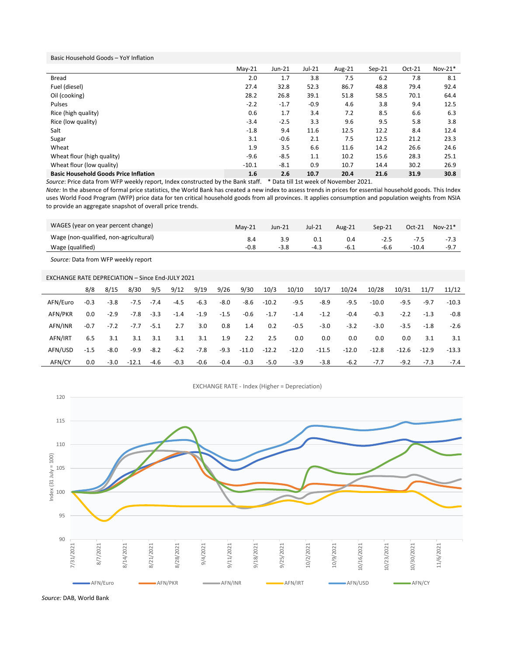Basic Household Goods – YoY Inflation

|                                              | $May-21$ | $Jun-21$ | $Jul-21$ | Aug-21 | $Sep-21$ | $Oct-21$ | $Nov-21*$ |
|----------------------------------------------|----------|----------|----------|--------|----------|----------|-----------|
| Bread                                        | 2.0      | 1.7      | 3.8      | 7.5    | 6.2      | 7.8      | 8.1       |
| Fuel (diesel)                                | 27.4     | 32.8     | 52.3     | 86.7   | 48.8     | 79.4     | 92.4      |
| Oil (cooking)                                | 28.2     | 26.8     | 39.1     | 51.8   | 58.5     | 70.1     | 64.4      |
| Pulses                                       | $-2.2$   | $-1.7$   | $-0.9$   | 4.6    | 3.8      | 9.4      | 12.5      |
| Rice (high quality)                          | 0.6      | 1.7      | 3.4      | 7.2    | 8.5      | 6.6      | 6.3       |
| Rice (low quality)                           | $-3.4$   | $-2.5$   | 3.3      | 9.6    | 9.5      | 5.8      | 3.8       |
| Salt                                         | $-1.8$   | 9.4      | 11.6     | 12.5   | 12.2     | 8.4      | 12.4      |
| Sugar                                        | 3.1      | $-0.6$   | 2.1      | 7.5    | 12.5     | 21.2     | 23.3      |
| Wheat                                        | 1.9      | 3.5      | 6.6      | 11.6   | 14.2     | 26.6     | 24.6      |
| Wheat flour (high quality)                   | $-9.6$   | $-8.5$   | 1.1      | 10.2   | 15.6     | 28.3     | 25.1      |
| Wheat flour (low quality)                    | $-10.1$  | $-8.1$   | 0.9      | 10.7   | 14.4     | 30.2     | 26.9      |
| <b>Basic Household Goods Price Inflation</b> | 1.6      | 2.6      | 10.7     | 20.4   | 21.6     | 31.9     | 30.8      |

*Source*: Price data from WFP weekly report, Index constructed by the Bank staff. \* Data till 1st week of November 2021.

*Note:* In the absence of formal price statistics, the World Bank has created a new index to assess trends in prices for essential household goods. This Index uses World Food Program (WFP) price data for ten critical household goods from all provinces. It applies consumption and population weights from NSIA to provide an aggregate snapshot of overall price trends.

| WAGES (year on year percent change)    | $Mav-21$ | Jun-21 | $Jul-21$ | Aug-21 | $Sep-21$ | $Oct-21$ | $Nov-21*$ |
|----------------------------------------|----------|--------|----------|--------|----------|----------|-----------|
| Wage (non-qualified, non-agricultural) |          |        |          |        | $-2.5$   | $-7.5$   |           |
| Wage (qualified)                       |          |        | $-4.3$   |        | -6.6     | $-10.4$  | -9.7      |

*Source:* Data from WFP weekly report

## EXCHANGE RATE DEPRECIATION – Since End-JULY 2021

|          | 8/8    | 8/15   | 8/30    | 9/5    | 9/12   | 9/19   | 9/26   | 9/30    | 10/3    | 10/10   | 10/17   | 10/24   | 10/28   | 10/31   | 11/7    | 11/12   |
|----------|--------|--------|---------|--------|--------|--------|--------|---------|---------|---------|---------|---------|---------|---------|---------|---------|
| AFN/Euro | $-0.3$ | $-3.8$ | $-7.5$  | $-7.4$ | $-4.5$ | $-6.3$ | $-8.0$ | $-8.6$  | $-10.2$ | $-9.5$  | -8.9    | $-9.5$  | $-10.0$ | $-9.5$  | $-9.7$  | $-10.3$ |
| AFN/PKR  | 0.0    | $-2.9$ | $-7.8$  | $-3.3$ | $-1.4$ | $-1.9$ | $-1.5$ | -0.6    | $-1.7$  | $-1.4$  | $-1.2$  | $-0.4$  | $-0.3$  | $-2.2$  | $-1.3$  | -0.8    |
| AFN/INR  | $-0.7$ | $-7.2$ | $-7.7$  | $-5.1$ | 2.7    | 3.0    | 0.8    | 1.4     | 0.2     | $-0.5$  | $-3.0$  | $-3.2$  | $-3.0$  | $-3.5$  | $-1.8$  | -2.6    |
| AFN/IRT  | 6.5    | 3.1    | 3.1     | 3.1    | 3.1    | 3.1    | 1.9    | 2.2     | 2.5     | 0.0     | 0.0     | 0.0     | 0.0     | 0.0     | 3.1     | 3.1     |
| AFN/USD  | $-1.5$ | -8.0   | -9.9    | $-8.2$ | $-6.2$ | $-7.8$ | $-9.3$ | $-11.0$ | $-12.2$ | $-12.0$ | $-11.5$ | $-12.0$ | $-12.8$ | $-12.6$ | $-12.9$ | $-13.3$ |
| AFN/CY   | 0.0    | $-3.0$ | $-12.1$ | $-4.6$ | $-0.3$ | $-0.6$ | $-0.4$ | $-0.3$  | $-5.0$  | $-3.9$  | $-3.8$  | $-6.2$  | $-7.7$  | $-9.2$  | $-7.3$  | $-7.4$  |



*Source:* DAB, World Bank